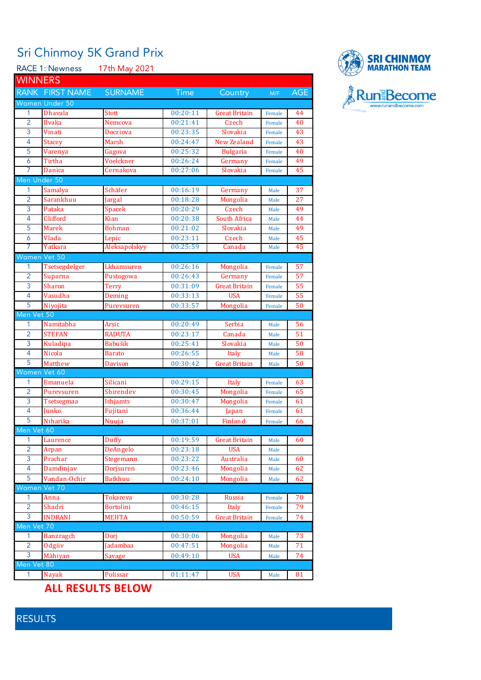## Sri Chinmoy 5K Grand Prix

| 17th May 2021<br><b>RACE 1: Newness</b> |                  |                  |             |                      |        |            |  |
|-----------------------------------------|------------------|------------------|-------------|----------------------|--------|------------|--|
| <b>WINNERS</b>                          |                  |                  |             |                      |        |            |  |
|                                         | RANK FIRST NAME  | <b>SURNAME</b>   | <b>Time</b> | Country              | M/F    | <b>AGE</b> |  |
|                                         | Women Under 50   |                  |             |                      |        |            |  |
| 1                                       | <b>Dhavala</b>   | Stott            | 00:20:11    | Great Britain        | Female | 44         |  |
| $\overline{2}$                          | Ilvaka           | Nemcova          | 00:21:41    | Czech                | Female | 40         |  |
| 3                                       | Vinati           | Docziova         | 00:23:35    | Slovakia             | Female | 43         |  |
| 4                                       | <b>Stacey</b>    | Marsh            | 00:24:47    | <b>New Zealand</b>   | Female | 43         |  |
| 5                                       | Varenya          | Gagova           | 00:25:32    | <b>Bulgaria</b>      | Female | 40         |  |
| 6                                       | Tirtha           | Voelckner        | 00:26:24    | Germany              | Female | 49         |  |
| 7                                       | Danica           | Cernakova        | 00:27:06    | Slovakia             | Female | 45         |  |
| Men Under 50                            |                  |                  |             |                      |        |            |  |
| 1                                       | Samalya          | Schäfer          | 00:16:19    | Germany              | Male   | 37         |  |
| $\overline{2}$                          | Sarankhuu        | Jargal           | 00:18:28    | Mongolia             | Male   | 27         |  |
| 3                                       | Pataka           | <b>Spacek</b>    | 00:20:29    | Czech                | Male   | 49         |  |
| 4                                       | Clifford         | Kian             | 00:20:38    | South Africa         | Male   | 44         |  |
| 5                                       | <b>Marek</b>     | <b>Bohman</b>    | 00:21:02    | Slovakia             | Male   | 49         |  |
| 6                                       | Vlada            | Lepic            | 00:23:11    | Czech                | Male   | 45         |  |
| 7                                       | Yatkara          | Aleksapolskyy    | 00:25:59    | Canada               | Male   | 45         |  |
| Women Vet 50                            |                  |                  |             |                      |        |            |  |
| 1                                       | Tsetsegdelger    | Lkhamsuren       | 00:26:16    | Mongolia             | Female | 57         |  |
| $\overline{2}$                          | Suparna          | Pustogowa        | 00:26:43    | Germany              | Female | 57         |  |
| 3                                       | <b>Sharon</b>    | Terry            | 00:31:09    | <b>Great Britain</b> | Female | 55         |  |
| 4                                       | Vasudha          | Deming           | 00:33:13    | <b>USA</b>           | Female | 55         |  |
| $\overline{5}$                          | Niyojita         | Purevsuren       | 00:33:57    | Mongolia             | Female | 50         |  |
| Men Vet 50                              |                  |                  |             |                      |        |            |  |
| 1                                       | Namitabha        | Arsic            | 00:20:49    | Serbia               | Male   | 56         |  |
| $\overline{2}$                          | <b>STEFAN</b>    | <b>RADUTA</b>    | 00:23:17    | Canada               | Male   | 51         |  |
| 3                                       | Kuladipa         | <b>Babušík</b>   | 00:25:41    | Slovakia             | Male   | 50         |  |
| 4                                       | Nicola           | Barato           | 00:26:55    | Italy                | Male   | 58         |  |
| $\overline{5}$                          | Matthew          | <b>Davison</b>   | 00:30:42    | <b>Great Britain</b> | Male   | 50         |  |
| Women Vet 60                            |                  |                  |             |                      |        |            |  |
| 1                                       | Emanuela         | Silicani         | 00:29:15    | Italy                | Female | 63         |  |
| $\overline{2}$                          | Purevsuren       | Shirendev        | 00:30:45    | Mongolia             | Female | 65         |  |
| 3                                       | Tsetsegmaa       | Ishjamts         | 00:30:47    | Mongolia             | Female | 61         |  |
| $\overline{4}$                          | Junko            | Fujitani         | 00:36:44    | Japan                | Female | 61         |  |
| 5                                       | Niharika         | Nuuja            | 00:37:01    | Finland              | Female | 66         |  |
| Men Vet 60                              |                  |                  |             |                      |        |            |  |
| 1                                       | Laurence         | Duffy            | 00:19:59    | Great Britain        | Male   | 60         |  |
| $\overline{2}$                          | Arpan            | DeAngelo         | 00:23:18    | <b>USA</b>           | Male   |            |  |
| 3                                       | Prachar          | Stegemann        | 00:23:22    | Australia            | Male   | 60         |  |
| 4                                       | Damdinjav        | Dorjsuren        | 00:23:46    | Mongolia             | Male   | 62         |  |
| 5                                       | Vandan-Ochir     | <b>Batkhuu</b>   | 00:24:10    | Mongolia             | Male   | 62         |  |
| Women Vet 70                            |                  |                  |             |                      |        |            |  |
| 1                                       | Anna             | Tokareva         | 00:30:28    | Russia               | Female | 70         |  |
| $\overline{2}$                          | Shadri           | <b>Bortolini</b> | 00:46:15    | Italy                | Female | 79         |  |
| 3                                       | <b>INDRANI</b>   | <b>MEHTA</b>     | 00:50:59    | <b>Great Britain</b> | Female | 74         |  |
| Men Vet 70                              |                  |                  |             |                      |        |            |  |
| 1                                       | <b>Banzragch</b> | Dori             | 00:30:06    | Mongolia             | Male   | 73         |  |
| $\overline{2}$                          | Odgiiv           | Jadambaa         | 00:47:51    | Mongolia             | Male   | 71         |  |
| 3                                       | Màhiyan          | Savage           | 00:49:10    | <b>USA</b>           | Male   | 74         |  |
| Men Vet 80                              |                  |                  |             |                      |        |            |  |
| 1                                       | Nayak            | Polissar         | 01:11:47    | <b>USA</b>           | Male   | 81         |  |
|                                         |                  |                  |             |                      |        |            |  |

## **SRI CHINMOY**<br>**MARATHON TEAM** Run Become

RESULTS

**ALL RESULTS BELOW**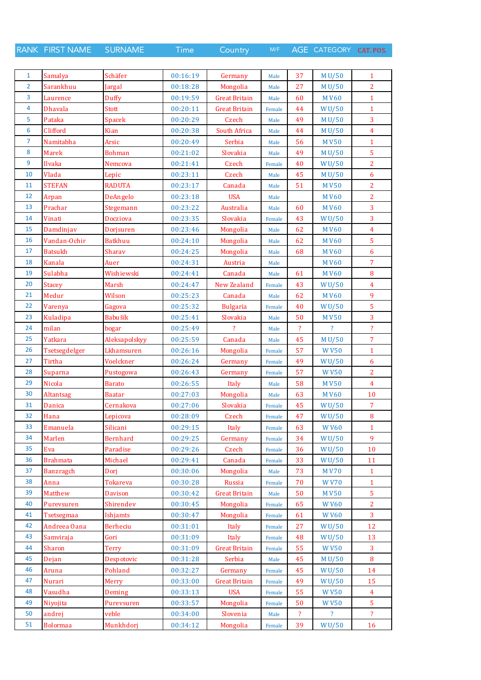RANK FIRST NAME SURNAME Time Country M/F AGE CATEGORY CAT. POS.

| $\mathbf{1}$            | Samalya          | Schäfer         | 00:16:19 | Germany              | Male   | 37                       | M U/50                   | $\mathbf{1}$            |
|-------------------------|------------------|-----------------|----------|----------------------|--------|--------------------------|--------------------------|-------------------------|
| $\overline{2}$          | Sarankhuu        | Jargal          | 00:18:28 | Mongolia             | Male   | 27                       | M U/50                   | $\overline{2}$          |
| 3                       | Laurence         | <b>Duffy</b>    | 00:19:59 | <b>Great Britain</b> | Male   | 60                       | <b>MV60</b>              | $\mathbf{1}$            |
| $\overline{\mathbf{4}}$ | <b>Dhavala</b>   | Stott           | 00:20:11 | Great Britain        | Female | 44                       | WU/50                    | $\mathbf{1}$            |
| 5                       | Pataka           | Spacek          | 00:20:29 | Czech                | Male   | 49                       | M U/50                   | 3                       |
| 6                       | Clifford         | Kian            | 00:20:38 | South Africa         | Male   | 44                       | M U/50                   | $\overline{4}$          |
| $\overline{7}$          | Namitabha        | Arsic           | 00:20:49 | Serbia               | Male   | 56                       | <b>MV50</b>              | $\mathbf{1}$            |
| 8                       | <b>Marek</b>     | <b>Bohman</b>   | 00:21:02 | Slovakia             | Male   | 49                       | M U/50                   | 5                       |
| 9                       | Ilvaka           | Nemcova         | 00:21:41 | Czech                | Female | 40                       | WU/50                    | $\overline{2}$          |
| 10                      | Vlada            | Lepic           | 00:23:11 | Czech                | Male   | 45                       | M U/50                   | 6                       |
| 11                      | <b>STEFAN</b>    | <b>RADUTA</b>   | 00:23:17 | Canada               | Male   | 51                       | <b>MV50</b>              | $\overline{2}$          |
| 12                      | Arpan            | DeAngelo        | 00:23:18 | <b>USA</b>           | Male   |                          | <b>MV60</b>              | $\overline{2}$          |
| 13                      | Prachar          | Stegemann       | 00:23:22 | Australia            | Male   | 60                       | <b>MV60</b>              | 3                       |
| 14                      | Vinati           | Docziova        | 00:23:35 | Slovakia             | Female | 43                       | W <sub>U</sub> /50       | $\overline{3}$          |
| 15                      | Damdinjav        | Dorjsuren       | 00:23:46 | Mongolia             | Male   | 62                       | <b>MV60</b>              | $\overline{4}$          |
| 16                      | Vandan-Ochir     | <b>Batkhuu</b>  | 00:24:10 | Mongolia             | Male   | 62                       | <b>MV60</b>              | 5                       |
| 17                      | <b>Batsukh</b>   | <b>Sharav</b>   | 00:24:25 | Mongolia             | Male   | 68                       | <b>MV60</b>              | 6                       |
| 18                      | Kanala           | Auer            | 00:24:31 | Austria              | Male   |                          | <b>MV60</b>              | $\overline{7}$          |
| 19                      | Sulabha          | Wishiewski      | 00:24:41 | Canada               | Male   | 61                       | <b>MV60</b>              | 8                       |
| 20                      | <b>Stacey</b>    | Marsh           | 00:24:47 | New Zealand          | Female | 43                       | WU/50                    | $\overline{4}$          |
| 21                      | Medur            | Wilson          | 00:25:23 | Canada               | Male   | 62                       | <b>MV60</b>              | 9                       |
| 22                      | Varenya          | Gagova          | 00:25:32 | <b>Bulgaria</b>      | Female | 40                       | WU/50                    | 5                       |
| 23                      | Kuladipa         | Babušík         | 00:25:41 | Slovakia             | Male   | 50                       | <b>MV50</b>              | 3                       |
| 24                      | milan            | bogar           | 00:25:49 | $\overline{?}$       | Male   | $\overline{?}$           | $\overline{?}$           | $\overline{\mathbf{?}}$ |
| 25                      | Yatkara          | Aleksapolskyy   | 00:25:59 | Canada               | Male   | 45                       | M U/50                   | $\overline{7}$          |
| 26                      | Tsetsegdelger    | Lkhamsuren      | 00:26:16 | Mongolia             | Female | 57                       | <b>WV50</b>              | $\mathbf{1}$            |
| 27                      | Tirtha           | Voelckner       | 00:26:24 | Germany              | Female | 49                       | WU/50                    | 6                       |
| 28                      | Suparna          | Pustogowa       | 00:26:43 | Germany              | Female | 57                       | <b>WV50</b>              | $\overline{2}$          |
| 29                      | Nicola           | <b>Barato</b>   | 00:26:55 | Italy                | Male   | 58                       | <b>MV50</b>              | $\overline{4}$          |
| 30                      | Altantsag        | <b>Baatar</b>   | 00:27:03 | Mongolia             | Male   | 63                       | <b>MV60</b>              | 10                      |
| 31                      | Danica           | Cernakova       | 00:27:06 | Slovakia             | Female | 45                       | WU/50                    | $\overline{7}$          |
| 32                      | Hana             | Lepicova        | 00:28:09 | Czech                | Female | 47                       | WU/50                    | 8                       |
| 33                      | Emanuela         | Silicani        | 00:29:15 | Italy                | Female | 63                       | <b>WV60</b>              | $\mathbf 1$             |
| 34                      | Marlen           | <b>Bernhard</b> | 00:29:25 | Germany              | Female | 34                       | WU/50                    | 9                       |
| 35                      | Eva              | Paradise        | 00:29:26 | Czech                | Female | 36                       | WU/50                    | 10                      |
| 36                      | <b>Brahmata</b>  | Michael         | 00:29:41 | Canada               | Female | 33                       | W U/50                   | 11                      |
| 37                      | <b>Banzragch</b> | Dorj            | 00:30:06 | Mongolia             | Male   | 73                       | <b>MV70</b>              | $\mathbf{1}$            |
| 38                      | Anna             | <b>Tokareva</b> | 00:30:28 | Russia               | Female | 70                       | <b>WV70</b>              | $\mathbf{1}$            |
| 39                      | Matthew          | <b>Davison</b>  | 00:30:42 | <b>Great Britain</b> | Male   | 50                       | <b>MV50</b>              | 5                       |
| 40                      | Purevsuren       | Shirendev       | 00:30:45 | Mongolia             | Female | 65                       | <b>WV60</b>              | $\overline{2}$          |
| 41                      | Tsetsegmaa       | Ishjamts        | 00:30:47 | Mongolia             | Female | 61                       | <b>WV60</b>              | 3                       |
| 42                      | Andreea Oana     | Berheciu        | 00:31:01 | Italy                | Female | 27                       | WU/50                    | 12                      |
| 43                      | Samviraja        | Gori            | 00:31:09 | Italy                | Female | 48                       | WU/50                    | 13                      |
| 44                      | Sharon           | <b>Terry</b>    | 00:31:09 | <b>Great Britain</b> | Female | 55                       | <b>WV50</b>              | 3                       |
| 45                      | Dejan            | Despotovic      | 00:31:28 | Serbia               | Male   | 45                       | M U/50                   | 8                       |
| 46                      | Aruna            | Pohland         | 00:32:27 | Germany              | Female | 45                       | WU/50                    | 14                      |
| 47                      | Nurari           | Merry           | 00:33:00 | <b>Great Britain</b> | Female | 49                       | WU/50                    | 15                      |
| 48                      | Vasudha          | Deming          | 00:33:13 | <b>USA</b>           | Female | 55                       | <b>WV50</b>              | $\overline{4}$          |
| 49                      | Niyojita         | Purevsuren      | 00:33:57 | Mongolia             | Female | 50                       | <b>WV50</b>              | 5                       |
| 50                      | andrej           | veble           | 00:34:00 | Slovenia             | Male   | $\overline{\mathcal{L}}$ | $\overline{\mathcal{E}}$ | $\overline{?}$          |
| 51                      | <b>Bolormaa</b>  | Munkhdorj       | 00:34:12 | Mongolia             | Female | 39                       | WU/50                    | 16                      |